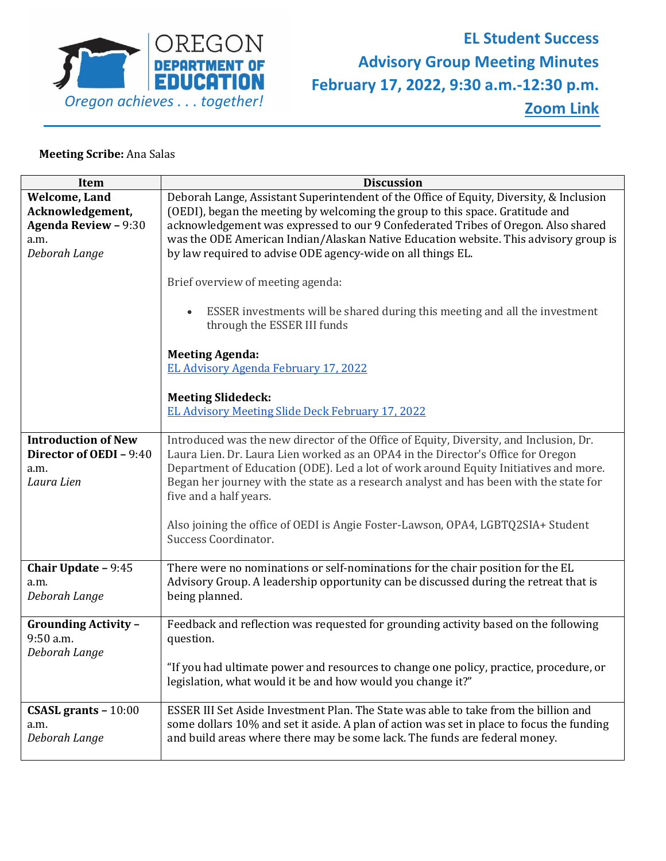

## **Meeting Scribe:** Ana Salas

| <b>Discussion</b>                                                                                                                                                                                                                                                                            |
|----------------------------------------------------------------------------------------------------------------------------------------------------------------------------------------------------------------------------------------------------------------------------------------------|
| Deborah Lange, Assistant Superintendent of the Office of Equity, Diversity, & Inclusion<br>(OEDI), began the meeting by welcoming the group to this space. Gratitude and<br>acknowledgement was expressed to our 9 Confederated Tribes of Oregon. Also shared                                |
| was the ODE American Indian/Alaskan Native Education website. This advisory group is<br>by law required to advise ODE agency-wide on all things EL.                                                                                                                                          |
| Brief overview of meeting agenda:                                                                                                                                                                                                                                                            |
| ESSER investments will be shared during this meeting and all the investment<br>through the ESSER III funds                                                                                                                                                                                   |
| <b>Meeting Agenda:</b>                                                                                                                                                                                                                                                                       |
| EL Advisory Agenda February 17, 2022                                                                                                                                                                                                                                                         |
| <b>Meeting Slidedeck:</b>                                                                                                                                                                                                                                                                    |
| EL Advisory Meeting Slide Deck February 17, 2022                                                                                                                                                                                                                                             |
| Introduced was the new director of the Office of Equity, Diversity, and Inclusion, Dr.                                                                                                                                                                                                       |
| Laura Lien. Dr. Laura Lien worked as an OPA4 in the Director's Office for Oregon<br>Department of Education (ODE). Led a lot of work around Equity Initiatives and more.<br>Began her journey with the state as a research analyst and has been with the state for<br>five and a half years. |
| Also joining the office of OEDI is Angie Foster-Lawson, OPA4, LGBTQ2SIA+ Student<br>Success Coordinator.                                                                                                                                                                                     |
| There were no nominations or self-nominations for the chair position for the EL<br>Advisory Group. A leadership opportunity can be discussed during the retreat that is<br>being planned.                                                                                                    |
| Feedback and reflection was requested for grounding activity based on the following<br>question.                                                                                                                                                                                             |
| "If you had ultimate power and resources to change one policy, practice, procedure, or<br>legislation, what would it be and how would you change it?"                                                                                                                                        |
| ESSER III Set Aside Investment Plan. The State was able to take from the billion and                                                                                                                                                                                                         |
| some dollars 10% and set it aside. A plan of action was set in place to focus the funding<br>and build areas where there may be some lack. The funds are federal money.                                                                                                                      |
|                                                                                                                                                                                                                                                                                              |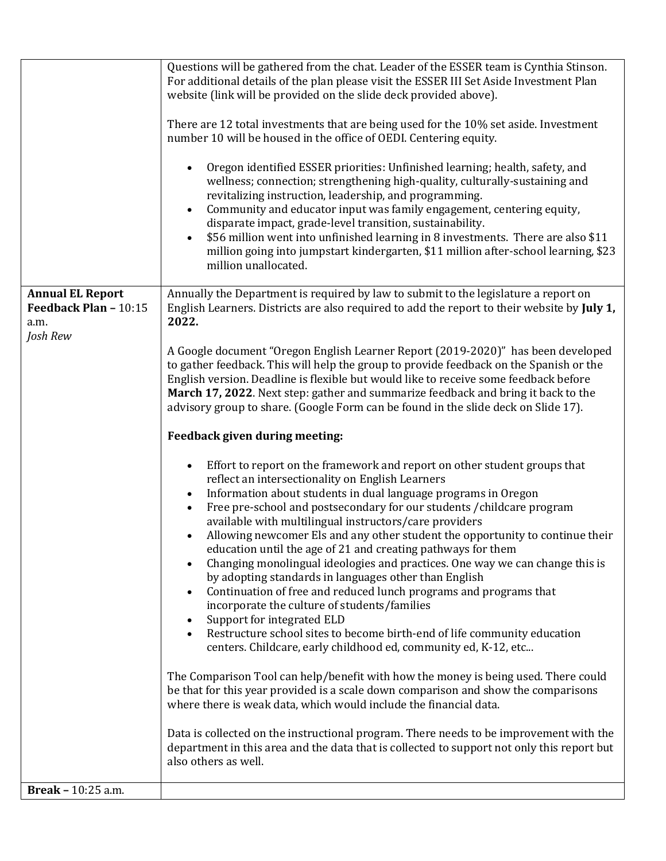|                                                                      | Questions will be gathered from the chat. Leader of the ESSER team is Cynthia Stinson.<br>For additional details of the plan please visit the ESSER III Set Aside Investment Plan<br>website (link will be provided on the slide deck provided above).<br>There are 12 total investments that are being used for the 10% set aside. Investment<br>number 10 will be housed in the office of OEDI. Centering equity.<br>Oregon identified ESSER priorities: Unfinished learning; health, safety, and<br>wellness; connection; strengthening high-quality, culturally-sustaining and<br>revitalizing instruction, leadership, and programming.<br>Community and educator input was family engagement, centering equity,<br>disparate impact, grade-level transition, sustainability.<br>\$56 million went into unfinished learning in 8 investments. There are also \$11<br>million going into jumpstart kindergarten, \$11 million after-school learning, \$23<br>million unallocated.                                                                                                                                                                                                                                                                                                                                                                                                                                                                                                                                                                                                                                                                                                                                                                                                                                                                                                                                                                                                                                                                                              |
|----------------------------------------------------------------------|------------------------------------------------------------------------------------------------------------------------------------------------------------------------------------------------------------------------------------------------------------------------------------------------------------------------------------------------------------------------------------------------------------------------------------------------------------------------------------------------------------------------------------------------------------------------------------------------------------------------------------------------------------------------------------------------------------------------------------------------------------------------------------------------------------------------------------------------------------------------------------------------------------------------------------------------------------------------------------------------------------------------------------------------------------------------------------------------------------------------------------------------------------------------------------------------------------------------------------------------------------------------------------------------------------------------------------------------------------------------------------------------------------------------------------------------------------------------------------------------------------------------------------------------------------------------------------------------------------------------------------------------------------------------------------------------------------------------------------------------------------------------------------------------------------------------------------------------------------------------------------------------------------------------------------------------------------------------------------------------------------------------------------------------------------------------------------|
| <b>Annual EL Report</b><br>Feedback Plan - 10:15<br>a.m.<br>Josh Rew | Annually the Department is required by law to submit to the legislature a report on<br>English Learners. Districts are also required to add the report to their website by July 1,<br>2022.<br>A Google document "Oregon English Learner Report (2019-2020)" has been developed<br>to gather feedback. This will help the group to provide feedback on the Spanish or the<br>English version. Deadline is flexible but would like to receive some feedback before<br>March 17, 2022. Next step: gather and summarize feedback and bring it back to the<br>advisory group to share. (Google Form can be found in the slide deck on Slide 17).<br>Feedback given during meeting:<br>Effort to report on the framework and report on other student groups that<br>reflect an intersectionality on English Learners<br>Information about students in dual language programs in Oregon<br>Free pre-school and postsecondary for our students / childcare program<br>available with multilingual instructors/care providers<br>Allowing newcomer Els and any other student the opportunity to continue their<br>education until the age of 21 and creating pathways for them<br>Changing monolingual ideologies and practices. One way we can change this is<br>by adopting standards in languages other than English<br>Continuation of free and reduced lunch programs and programs that<br>incorporate the culture of students/families<br>Support for integrated ELD<br>Restructure school sites to become birth-end of life community education<br>centers. Childcare, early childhood ed, community ed, K-12, etc<br>The Comparison Tool can help/benefit with how the money is being used. There could<br>be that for this year provided is a scale down comparison and show the comparisons<br>where there is weak data, which would include the financial data.<br>Data is collected on the instructional program. There needs to be improvement with the<br>department in this area and the data that is collected to support not only this report but<br>also others as well. |
| Break - 10:25 a.m.                                                   |                                                                                                                                                                                                                                                                                                                                                                                                                                                                                                                                                                                                                                                                                                                                                                                                                                                                                                                                                                                                                                                                                                                                                                                                                                                                                                                                                                                                                                                                                                                                                                                                                                                                                                                                                                                                                                                                                                                                                                                                                                                                                    |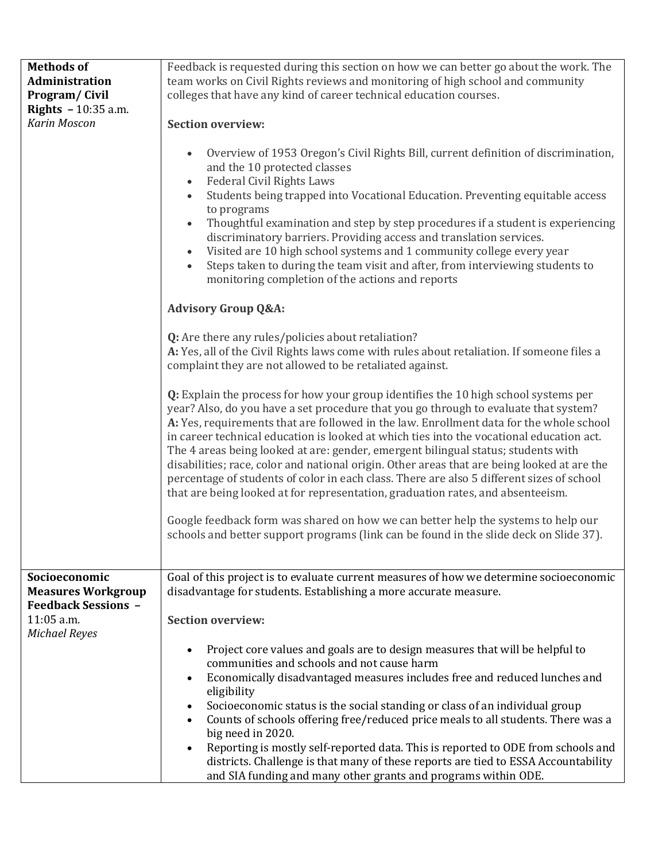| <b>Methods of</b><br>Administration<br><b>Program/Civil</b><br>Rights $-10:35$ a.m.<br>Karin Moscon            | Feedback is requested during this section on how we can better go about the work. The<br>team works on Civil Rights reviews and monitoring of high school and community<br>colleges that have any kind of career technical education courses.<br><b>Section overview:</b><br>Overview of 1953 Oregon's Civil Rights Bill, current definition of discrimination,<br>and the 10 protected classes<br><b>Federal Civil Rights Laws</b><br>Students being trapped into Vocational Education. Preventing equitable access<br>to programs<br>Thoughtful examination and step by step procedures if a student is experiencing<br>discriminatory barriers. Providing access and translation services.<br>Visited are 10 high school systems and 1 community college every year<br>$\bullet$<br>Steps taken to during the team visit and after, from interviewing students to<br>monitoring completion of the actions and reports<br><b>Advisory Group Q&amp;A:</b><br>Q: Are there any rules/policies about retaliation?<br>A: Yes, all of the Civil Rights laws come with rules about retaliation. If someone files a<br>complaint they are not allowed to be retaliated against.<br>Q: Explain the process for how your group identifies the 10 high school systems per<br>year? Also, do you have a set procedure that you go through to evaluate that system?<br>A: Yes, requirements that are followed in the law. Enrollment data for the whole school<br>in career technical education is looked at which ties into the vocational education act.<br>The 4 areas being looked at are: gender, emergent bilingual status; students with<br>disabilities; race, color and national origin. Other areas that are being looked at are the<br>percentage of students of color in each class. There are also 5 different sizes of school<br>that are being looked at for representation, graduation rates, and absenteeism.<br>Google feedback form was shared on how we can better help the systems to help our<br>schools and better support programs (link can be found in the slide deck on Slide 37). |
|----------------------------------------------------------------------------------------------------------------|-----------------------------------------------------------------------------------------------------------------------------------------------------------------------------------------------------------------------------------------------------------------------------------------------------------------------------------------------------------------------------------------------------------------------------------------------------------------------------------------------------------------------------------------------------------------------------------------------------------------------------------------------------------------------------------------------------------------------------------------------------------------------------------------------------------------------------------------------------------------------------------------------------------------------------------------------------------------------------------------------------------------------------------------------------------------------------------------------------------------------------------------------------------------------------------------------------------------------------------------------------------------------------------------------------------------------------------------------------------------------------------------------------------------------------------------------------------------------------------------------------------------------------------------------------------------------------------------------------------------------------------------------------------------------------------------------------------------------------------------------------------------------------------------------------------------------------------------------------------------------------------------------------------------------------------------------------------------------------------------------------------------------------------------------------------------------------------------------------|
| Socioeconomic<br><b>Measures Workgroup</b><br><b>Feedback Sessions -</b><br>11:05 a.m.<br><b>Michael Reyes</b> | Goal of this project is to evaluate current measures of how we determine socioeconomic<br>disadvantage for students. Establishing a more accurate measure.<br><b>Section overview:</b><br>Project core values and goals are to design measures that will be helpful to<br>communities and schools and not cause harm<br>Economically disadvantaged measures includes free and reduced lunches and<br>eligibility<br>Socioeconomic status is the social standing or class of an individual group<br>Counts of schools offering free/reduced price meals to all students. There was a<br>big need in 2020.<br>Reporting is mostly self-reported data. This is reported to ODE from schools and<br>districts. Challenge is that many of these reports are tied to ESSA Accountability                                                                                                                                                                                                                                                                                                                                                                                                                                                                                                                                                                                                                                                                                                                                                                                                                                                                                                                                                                                                                                                                                                                                                                                                                                                                                                                  |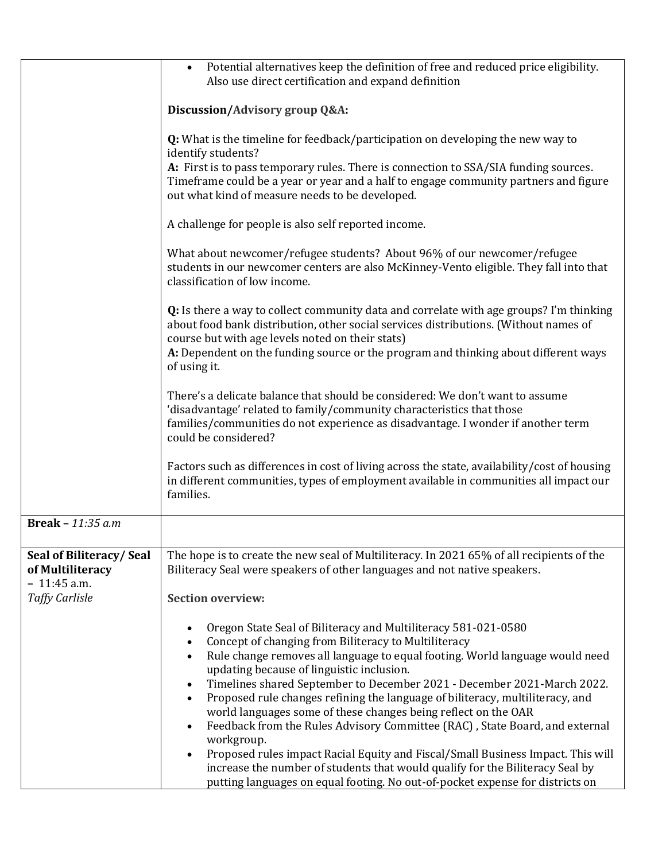|                                                              | Potential alternatives keep the definition of free and reduced price eligibility.<br>$\bullet$<br>Also use direct certification and expand definition                                                                                                                                                                             |
|--------------------------------------------------------------|-----------------------------------------------------------------------------------------------------------------------------------------------------------------------------------------------------------------------------------------------------------------------------------------------------------------------------------|
|                                                              | Discussion/Advisory group Q&A:                                                                                                                                                                                                                                                                                                    |
|                                                              | <b>Q:</b> What is the timeline for feedback/participation on developing the new way to<br>identify students?<br>A: First is to pass temporary rules. There is connection to SSA/SIA funding sources.<br>Timeframe could be a year or year and a half to engage community partners and figure                                      |
|                                                              | out what kind of measure needs to be developed.                                                                                                                                                                                                                                                                                   |
|                                                              | A challenge for people is also self reported income.                                                                                                                                                                                                                                                                              |
|                                                              | What about newcomer/refugee students? About 96% of our newcomer/refugee<br>students in our newcomer centers are also McKinney-Vento eligible. They fall into that<br>classification of low income.                                                                                                                                |
|                                                              | <b>Q:</b> Is there a way to collect community data and correlate with age groups? I'm thinking<br>about food bank distribution, other social services distributions. (Without names of<br>course but with age levels noted on their stats)<br>A: Dependent on the funding source or the program and thinking about different ways |
|                                                              | of using it.                                                                                                                                                                                                                                                                                                                      |
|                                                              | There's a delicate balance that should be considered: We don't want to assume<br>'disadvantage' related to family/community characteristics that those                                                                                                                                                                            |
|                                                              | families/communities do not experience as disadvantage. I wonder if another term<br>could be considered?                                                                                                                                                                                                                          |
|                                                              | Factors such as differences in cost of living across the state, availability/cost of housing<br>in different communities, types of employment available in communities all impact our<br>families.                                                                                                                                |
| Break - $11:35$ a.m                                          |                                                                                                                                                                                                                                                                                                                                   |
| Seal of Biliteracy/Seal<br>of Multiliteracy<br>$-11:45$ a.m. | The hope is to create the new seal of Multiliteracy. In 2021 65% of all recipients of the<br>Biliteracy Seal were speakers of other languages and not native speakers.                                                                                                                                                            |
| <b>Taffy Carlisle</b>                                        | <b>Section overview:</b>                                                                                                                                                                                                                                                                                                          |
|                                                              | Oregon State Seal of Biliteracy and Multiliteracy 581-021-0580<br>Concept of changing from Biliteracy to Multiliteracy<br>Rule change removes all language to equal footing. World language would need<br>updating because of linguistic inclusion.                                                                               |
|                                                              | Timelines shared September to December 2021 - December 2021-March 2022.<br>Proposed rule changes refining the language of biliteracy, multiliteracy, and<br>world languages some of these changes being reflect on the OAR<br>Feedback from the Rules Advisory Committee (RAC), State Board, and external<br>workgroup.           |
|                                                              | Proposed rules impact Racial Equity and Fiscal/Small Business Impact. This will<br>increase the number of students that would qualify for the Biliteracy Seal by<br>putting languages on equal footing. No out-of-pocket expense for districts on                                                                                 |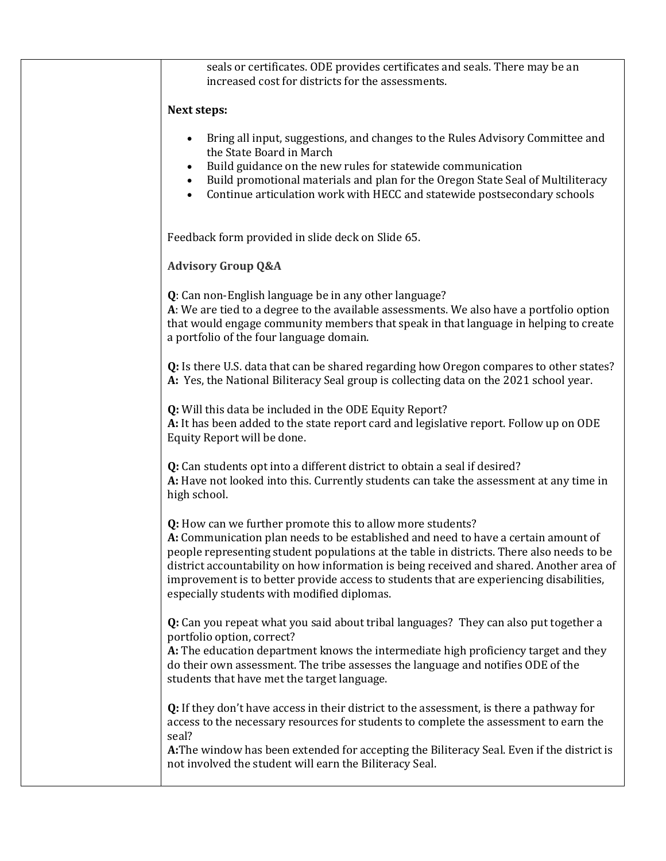| seals or certificates. ODE provides certificates and seals. There may be an<br>increased cost for districts for the assessments.                                                                                                                                                                                                                                                                                                                                                    |
|-------------------------------------------------------------------------------------------------------------------------------------------------------------------------------------------------------------------------------------------------------------------------------------------------------------------------------------------------------------------------------------------------------------------------------------------------------------------------------------|
| <b>Next steps:</b>                                                                                                                                                                                                                                                                                                                                                                                                                                                                  |
| Bring all input, suggestions, and changes to the Rules Advisory Committee and<br>the State Board in March<br>Build guidance on the new rules for statewide communication<br>Build promotional materials and plan for the Oregon State Seal of Multiliteracy<br>Continue articulation work with HECC and statewide postsecondary schools                                                                                                                                             |
| Feedback form provided in slide deck on Slide 65.                                                                                                                                                                                                                                                                                                                                                                                                                                   |
| <b>Advisory Group Q&amp;A</b>                                                                                                                                                                                                                                                                                                                                                                                                                                                       |
| Q: Can non-English language be in any other language?<br>A: We are tied to a degree to the available assessments. We also have a portfolio option<br>that would engage community members that speak in that language in helping to create<br>a portfolio of the four language domain.                                                                                                                                                                                               |
| Q: Is there U.S. data that can be shared regarding how Oregon compares to other states?<br>A: Yes, the National Biliteracy Seal group is collecting data on the 2021 school year.                                                                                                                                                                                                                                                                                                   |
| Q: Will this data be included in the ODE Equity Report?<br>A: It has been added to the state report card and legislative report. Follow up on ODE<br>Equity Report will be done.                                                                                                                                                                                                                                                                                                    |
| Q: Can students opt into a different district to obtain a seal if desired?<br>A: Have not looked into this. Currently students can take the assessment at any time in<br>high school.                                                                                                                                                                                                                                                                                               |
| Q: How can we further promote this to allow more students?<br>A: Communication plan needs to be established and need to have a certain amount of<br>people representing student populations at the table in districts. There also needs to be<br>district accountability on how information is being received and shared. Another area of<br>improvement is to better provide access to students that are experiencing disabilities,<br>especially students with modified diplomas. |
| <b>Q:</b> Can you repeat what you said about tribal languages? They can also put together a<br>portfolio option, correct?<br>A: The education department knows the intermediate high proficiency target and they<br>do their own assessment. The tribe assesses the language and notifies ODE of the<br>students that have met the target language.                                                                                                                                 |
| Q: If they don't have access in their district to the assessment, is there a pathway for<br>access to the necessary resources for students to complete the assessment to earn the<br>seal?<br>A: The window has been extended for accepting the Biliteracy Seal. Even if the district is<br>not involved the student will earn the Biliteracy Seal.                                                                                                                                 |
|                                                                                                                                                                                                                                                                                                                                                                                                                                                                                     |